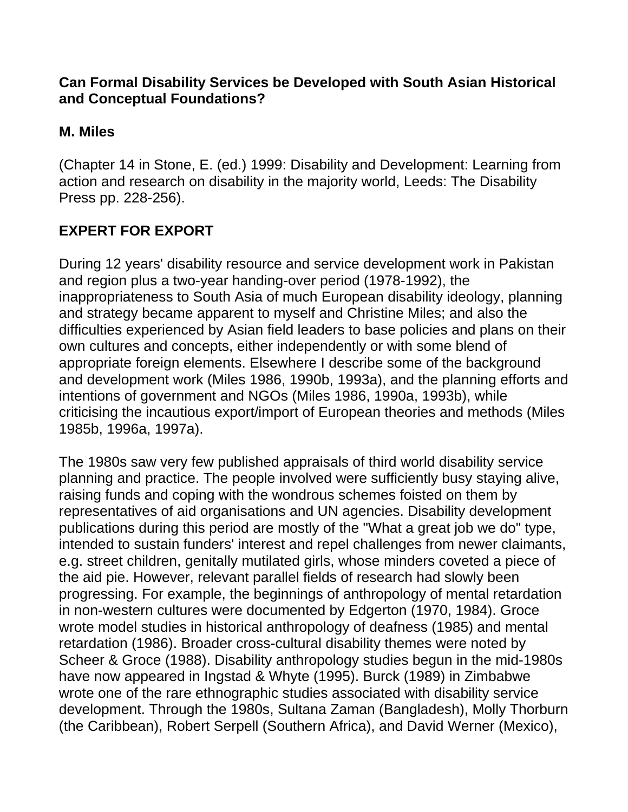#### **Can Formal Disability Services be Developed with South Asian Historical and Conceptual Foundations?**

### **M. Miles**

(Chapter 14 in Stone, E. (ed.) 1999: Disability and Development: Learning from action and research on disability in the majority world, Leeds: The Disability Press pp. 228-256).

# **EXPERT FOR EXPORT**

During 12 years' disability resource and service development work in Pakistan and region plus a two-year handing-over period (1978-1992), the inappropriateness to South Asia of much European disability ideology, planning and strategy became apparent to myself and Christine Miles; and also the difficulties experienced by Asian field leaders to base policies and plans on their own cultures and concepts, either independently or with some blend of appropriate foreign elements. Elsewhere I describe some of the background and development work (Miles 1986, 1990b, 1993a), and the planning efforts and intentions of government and NGOs (Miles 1986, 1990a, 1993b), while criticising the incautious export/import of European theories and methods (Miles 1985b, 1996a, 1997a).

The 1980s saw very few published appraisals of third world disability service planning and practice. The people involved were sufficiently busy staying alive, raising funds and coping with the wondrous schemes foisted on them by representatives of aid organisations and UN agencies. Disability development publications during this period are mostly of the "What a great job we do" type, intended to sustain funders' interest and repel challenges from newer claimants, e.g. street children, genitally mutilated girls, whose minders coveted a piece of the aid pie. However, relevant parallel fields of research had slowly been progressing. For example, the beginnings of anthropology of mental retardation in non-western cultures were documented by Edgerton (1970, 1984). Groce wrote model studies in historical anthropology of deafness (1985) and mental retardation (1986). Broader cross-cultural disability themes were noted by Scheer & Groce (1988). Disability anthropology studies begun in the mid-1980s have now appeared in Ingstad & Whyte (1995). Burck (1989) in Zimbabwe wrote one of the rare ethnographic studies associated with disability service development. Through the 1980s, Sultana Zaman (Bangladesh), Molly Thorburn (the Caribbean), Robert Serpell (Southern Africa), and David Werner (Mexico),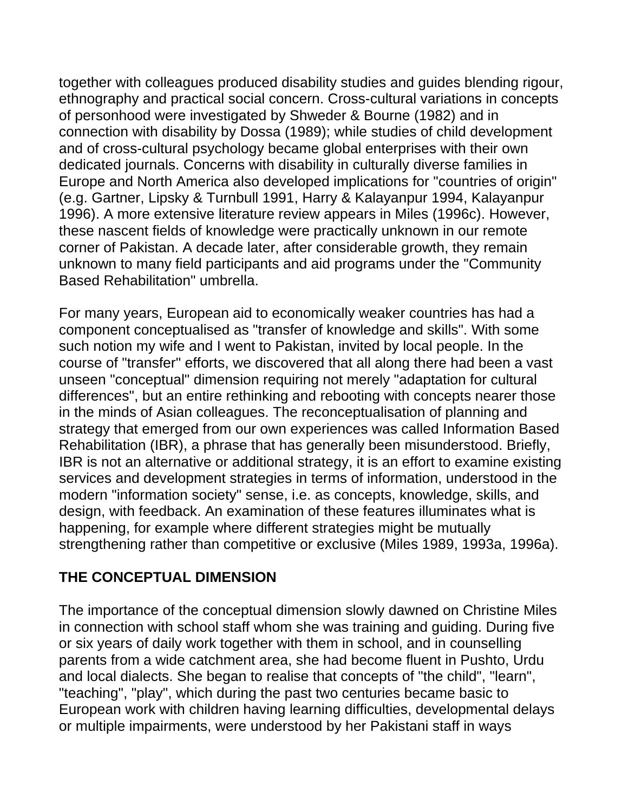together with colleagues produced disability studies and guides blending rigour, ethnography and practical social concern. Cross-cultural variations in concepts of personhood were investigated by Shweder & Bourne (1982) and in connection with disability by Dossa (1989); while studies of child development and of cross-cultural psychology became global enterprises with their own dedicated journals. Concerns with disability in culturally diverse families in Europe and North America also developed implications for "countries of origin" (e.g. Gartner, Lipsky & Turnbull 1991, Harry & Kalayanpur 1994, Kalayanpur 1996). A more extensive literature review appears in Miles (1996c). However, these nascent fields of knowledge were practically unknown in our remote corner of Pakistan. A decade later, after considerable growth, they remain unknown to many field participants and aid programs under the "Community Based Rehabilitation" umbrella.

For many years, European aid to economically weaker countries has had a component conceptualised as "transfer of knowledge and skills". With some such notion my wife and I went to Pakistan, invited by local people. In the course of "transfer" efforts, we discovered that all along there had been a vast unseen "conceptual" dimension requiring not merely "adaptation for cultural differences", but an entire rethinking and rebooting with concepts nearer those in the minds of Asian colleagues. The reconceptualisation of planning and strategy that emerged from our own experiences was called Information Based Rehabilitation (IBR), a phrase that has generally been misunderstood. Briefly, IBR is not an alternative or additional strategy, it is an effort to examine existing services and development strategies in terms of information, understood in the modern "information society" sense, i.e. as concepts, knowledge, skills, and design, with feedback. An examination of these features illuminates what is happening, for example where different strategies might be mutually strengthening rather than competitive or exclusive (Miles 1989, 1993a, 1996a).

### **THE CONCEPTUAL DIMENSION**

The importance of the conceptual dimension slowly dawned on Christine Miles in connection with school staff whom she was training and guiding. During five or six years of daily work together with them in school, and in counselling parents from a wide catchment area, she had become fluent in Pushto, Urdu and local dialects. She began to realise that concepts of "the child", "learn", "teaching", "play", which during the past two centuries became basic to European work with children having learning difficulties, developmental delays or multiple impairments, were understood by her Pakistani staff in ways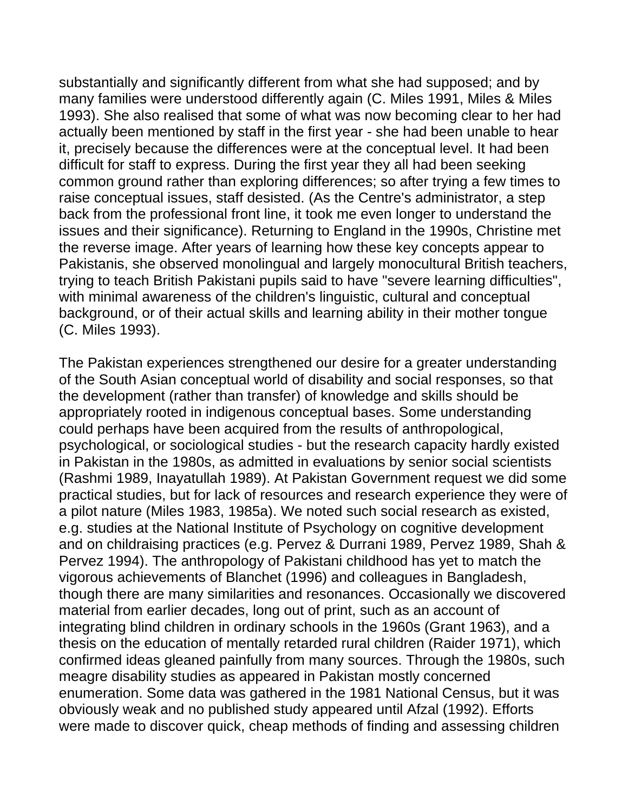substantially and significantly different from what she had supposed; and by many families were understood differently again (C. Miles 1991, Miles & Miles 1993). She also realised that some of what was now becoming clear to her had actually been mentioned by staff in the first year - she had been unable to hear it, precisely because the differences were at the conceptual level. It had been difficult for staff to express. During the first year they all had been seeking common ground rather than exploring differences; so after trying a few times to raise conceptual issues, staff desisted. (As the Centre's administrator, a step back from the professional front line, it took me even longer to understand the issues and their significance). Returning to England in the 1990s, Christine met the reverse image. After years of learning how these key concepts appear to Pakistanis, she observed monolingual and largely monocultural British teachers, trying to teach British Pakistani pupils said to have "severe learning difficulties", with minimal awareness of the children's linguistic, cultural and conceptual background, or of their actual skills and learning ability in their mother tongue (C. Miles 1993).

The Pakistan experiences strengthened our desire for a greater understanding of the South Asian conceptual world of disability and social responses, so that the development (rather than transfer) of knowledge and skills should be appropriately rooted in indigenous conceptual bases. Some understanding could perhaps have been acquired from the results of anthropological, psychological, or sociological studies - but the research capacity hardly existed in Pakistan in the 1980s, as admitted in evaluations by senior social scientists (Rashmi 1989, Inayatullah 1989). At Pakistan Government request we did some practical studies, but for lack of resources and research experience they were of a pilot nature (Miles 1983, 1985a). We noted such social research as existed, e.g. studies at the National Institute of Psychology on cognitive development and on childraising practices (e.g. Pervez & Durrani 1989, Pervez 1989, Shah & Pervez 1994). The anthropology of Pakistani childhood has yet to match the vigorous achievements of Blanchet (1996) and colleagues in Bangladesh, though there are many similarities and resonances. Occasionally we discovered material from earlier decades, long out of print, such as an account of integrating blind children in ordinary schools in the 1960s (Grant 1963), and a thesis on the education of mentally retarded rural children (Raider 1971), which confirmed ideas gleaned painfully from many sources. Through the 1980s, such meagre disability studies as appeared in Pakistan mostly concerned enumeration. Some data was gathered in the 1981 National Census, but it was obviously weak and no published study appeared until Afzal (1992). Efforts were made to discover quick, cheap methods of finding and assessing children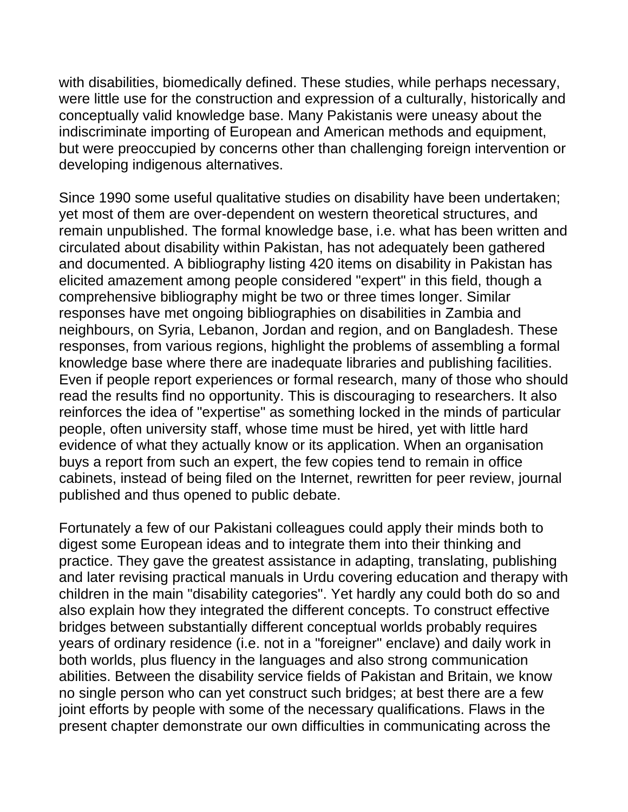with disabilities, biomedically defined. These studies, while perhaps necessary, were little use for the construction and expression of a culturally, historically and conceptually valid knowledge base. Many Pakistanis were uneasy about the indiscriminate importing of European and American methods and equipment, but were preoccupied by concerns other than challenging foreign intervention or developing indigenous alternatives.

Since 1990 some useful qualitative studies on disability have been undertaken; yet most of them are over-dependent on western theoretical structures, and remain unpublished. The formal knowledge base, i.e. what has been written and circulated about disability within Pakistan, has not adequately been gathered and documented. A bibliography listing 420 items on disability in Pakistan has elicited amazement among people considered "expert" in this field, though a comprehensive bibliography might be two or three times longer. Similar responses have met ongoing bibliographies on disabilities in Zambia and neighbours, on Syria, Lebanon, Jordan and region, and on Bangladesh. These responses, from various regions, highlight the problems of assembling a formal knowledge base where there are inadequate libraries and publishing facilities. Even if people report experiences or formal research, many of those who should read the results find no opportunity. This is discouraging to researchers. It also reinforces the idea of "expertise" as something locked in the minds of particular people, often university staff, whose time must be hired, yet with little hard evidence of what they actually know or its application. When an organisation buys a report from such an expert, the few copies tend to remain in office cabinets, instead of being filed on the Internet, rewritten for peer review, journal published and thus opened to public debate.

Fortunately a few of our Pakistani colleagues could apply their minds both to digest some European ideas and to integrate them into their thinking and practice. They gave the greatest assistance in adapting, translating, publishing and later revising practical manuals in Urdu covering education and therapy with children in the main "disability categories". Yet hardly any could both do so and also explain how they integrated the different concepts. To construct effective bridges between substantially different conceptual worlds probably requires years of ordinary residence (i.e. not in a "foreigner" enclave) and daily work in both worlds, plus fluency in the languages and also strong communication abilities. Between the disability service fields of Pakistan and Britain, we know no single person who can yet construct such bridges; at best there are a few joint efforts by people with some of the necessary qualifications. Flaws in the present chapter demonstrate our own difficulties in communicating across the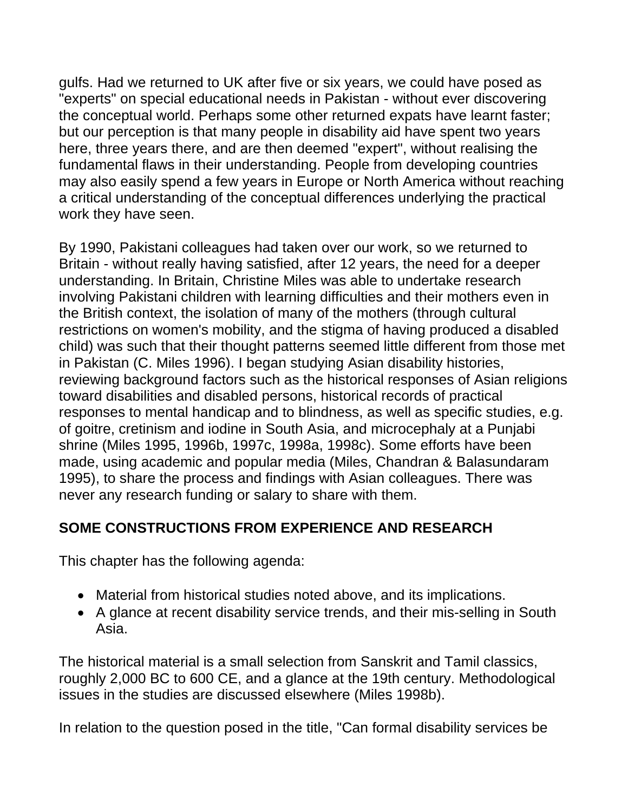gulfs. Had we returned to UK after five or six years, we could have posed as "experts" on special educational needs in Pakistan - without ever discovering the conceptual world. Perhaps some other returned expats have learnt faster; but our perception is that many people in disability aid have spent two years here, three years there, and are then deemed "expert", without realising the fundamental flaws in their understanding. People from developing countries may also easily spend a few years in Europe or North America without reaching a critical understanding of the conceptual differences underlying the practical work they have seen.

By 1990, Pakistani colleagues had taken over our work, so we returned to Britain - without really having satisfied, after 12 years, the need for a deeper understanding. In Britain, Christine Miles was able to undertake research involving Pakistani children with learning difficulties and their mothers even in the British context, the isolation of many of the mothers (through cultural restrictions on women's mobility, and the stigma of having produced a disabled child) was such that their thought patterns seemed little different from those met in Pakistan (C. Miles 1996). I began studying Asian disability histories, reviewing background factors such as the historical responses of Asian religions toward disabilities and disabled persons, historical records of practical responses to mental handicap and to blindness, as well as specific studies, e.g. of goitre, cretinism and iodine in South Asia, and microcephaly at a Punjabi shrine (Miles 1995, 1996b, 1997c, 1998a, 1998c). Some efforts have been made, using academic and popular media (Miles, Chandran & Balasundaram 1995), to share the process and findings with Asian colleagues. There was never any research funding or salary to share with them.

### **SOME CONSTRUCTIONS FROM EXPERIENCE AND RESEARCH**

This chapter has the following agenda:

- Material from historical studies noted above, and its implications.
- A glance at recent disability service trends, and their mis-selling in South Asia.

The historical material is a small selection from Sanskrit and Tamil classics, roughly 2,000 BC to 600 CE, and a glance at the 19th century. Methodological issues in the studies are discussed elsewhere (Miles 1998b).

In relation to the question posed in the title, "Can formal disability services be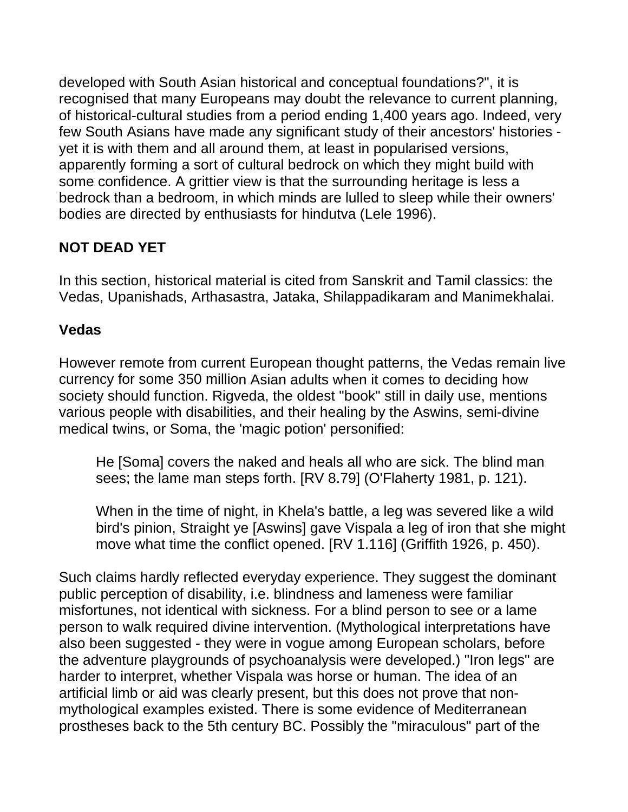developed with South Asian historical and conceptual foundations?", it is recognised that many Europeans may doubt the relevance to current planning, of historical-cultural studies from a period ending 1,400 years ago. Indeed, very few South Asians have made any significant study of their ancestors' histories yet it is with them and all around them, at least in popularised versions, apparently forming a sort of cultural bedrock on which they might build with some confidence. A grittier view is that the surrounding heritage is less a bedrock than a bedroom, in which minds are lulled to sleep while their owners' bodies are directed by enthusiasts for hindutva (Lele 1996).

# **NOT DEAD YET**

In this section, historical material is cited from Sanskrit and Tamil classics: the Vedas, Upanishads, Arthasastra, Jataka, Shilappadikaram and Manimekhalai.

### **Vedas**

However remote from current European thought patterns, the Vedas remain live currency for some 350 million Asian adults when it comes to deciding how society should function. Rigveda, the oldest "book" still in daily use, mentions various people with disabilities, and their healing by the Aswins, semi-divine medical twins, or Soma, the 'magic potion' personified:

He [Soma] covers the naked and heals all who are sick. The blind man sees; the lame man steps forth. [RV 8.79] (O'Flaherty 1981, p. 121).

When in the time of night, in Khela's battle, a leg was severed like a wild bird's pinion, Straight ye [Aswins] gave Vispala a leg of iron that she might move what time the conflict opened. [RV 1.116] (Griffith 1926, p. 450).

Such claims hardly reflected everyday experience. They suggest the dominant public perception of disability, i.e. blindness and lameness were familiar misfortunes, not identical with sickness. For a blind person to see or a lame person to walk required divine intervention. (Mythological interpretations have also been suggested - they were in vogue among European scholars, before the adventure playgrounds of psychoanalysis were developed.) "Iron legs" are harder to interpret, whether Vispala was horse or human. The idea of an artificial limb or aid was clearly present, but this does not prove that nonmythological examples existed. There is some evidence of Mediterranean prostheses back to the 5th century BC. Possibly the "miraculous" part of the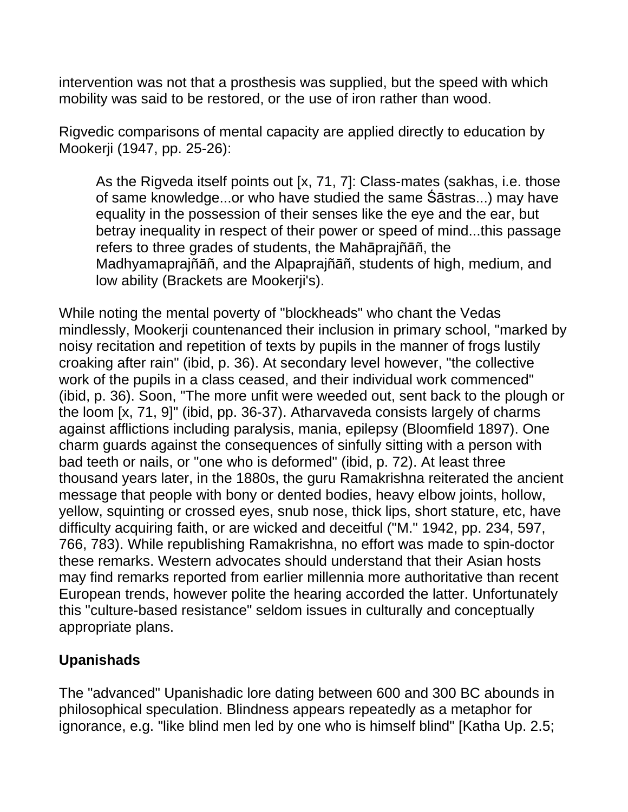intervention was not that a prosthesis was supplied, but the speed with which mobility was said to be restored, or the use of iron rather than wood.

Rigvedic comparisons of mental capacity are applied directly to education by Mookerji (1947, pp. 25-26):

As the Rigveda itself points out [x, 71, 7]: Class-mates (sakhas, i.e. those of same knowledge...or who have studied the same Śāstras...) may have equality in the possession of their senses like the eye and the ear, but betray inequality in respect of their power or speed of mind...this passage refers to three grades of students, the Mahāprajñāñ, the Madhyamaprajñāñ, and the Alpaprajñāñ, students of high, medium, and low ability (Brackets are Mookerji's).

While noting the mental poverty of "blockheads" who chant the Vedas mindlessly, Mookerji countenanced their inclusion in primary school, "marked by noisy recitation and repetition of texts by pupils in the manner of frogs lustily croaking after rain" (ibid, p. 36). At secondary level however, "the collective work of the pupils in a class ceased, and their individual work commenced" (ibid, p. 36). Soon, "The more unfit were weeded out, sent back to the plough or the loom [x, 71, 9]" (ibid, pp. 36-37). Atharvaveda consists largely of charms against afflictions including paralysis, mania, epilepsy (Bloomfield 1897). One charm guards against the consequences of sinfully sitting with a person with bad teeth or nails, or "one who is deformed" (ibid, p. 72). At least three thousand years later, in the 1880s, the guru Ramakrishna reiterated the ancient message that people with bony or dented bodies, heavy elbow joints, hollow, yellow, squinting or crossed eyes, snub nose, thick lips, short stature, etc, have difficulty acquiring faith, or are wicked and deceitful ("M." 1942, pp. 234, 597, 766, 783). While republishing Ramakrishna, no effort was made to spin-doctor these remarks. Western advocates should understand that their Asian hosts may find remarks reported from earlier millennia more authoritative than recent European trends, however polite the hearing accorded the latter. Unfortunately this "culture-based resistance" seldom issues in culturally and conceptually appropriate plans.

### **Upanishads**

The "advanced" Upanishadic lore dating between 600 and 300 BC abounds in philosophical speculation. Blindness appears repeatedly as a metaphor for ignorance, e.g. "like blind men led by one who is himself blind" [Katha Up. 2.5;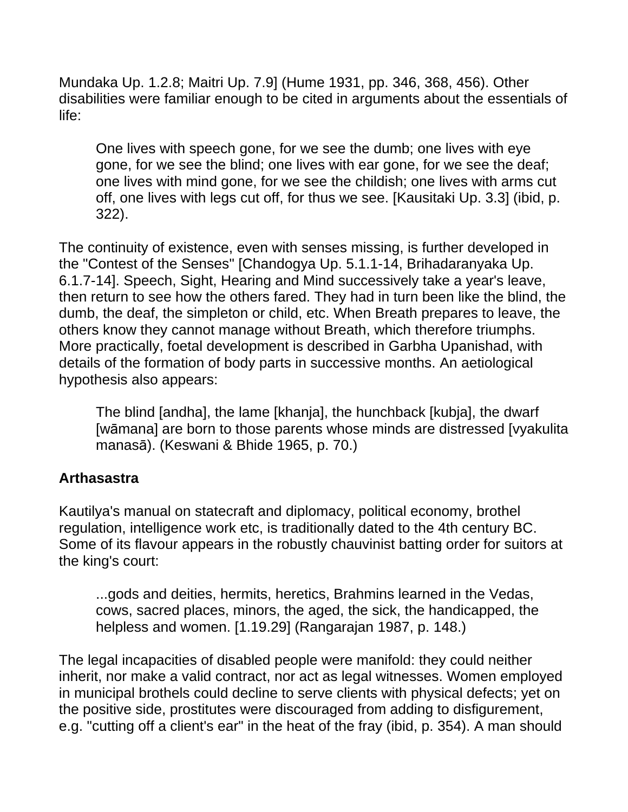Mundaka Up. 1.2.8; Maitri Up. 7.9] (Hume 1931, pp. 346, 368, 456). Other disabilities were familiar enough to be cited in arguments about the essentials of life:

One lives with speech gone, for we see the dumb; one lives with eye gone, for we see the blind; one lives with ear gone, for we see the deaf; one lives with mind gone, for we see the childish; one lives with arms cut off, one lives with legs cut off, for thus we see. [Kausitaki Up. 3.3] (ibid, p. 322).

The continuity of existence, even with senses missing, is further developed in the "Contest of the Senses" [Chandogya Up. 5.1.1-14, Brihadaranyaka Up. 6.1.7-14]. Speech, Sight, Hearing and Mind successively take a year's leave, then return to see how the others fared. They had in turn been like the blind, the dumb, the deaf, the simpleton or child, etc. When Breath prepares to leave, the others know they cannot manage without Breath, which therefore triumphs. More practically, foetal development is described in Garbha Upanishad, with details of the formation of body parts in successive months. An aetiological hypothesis also appears:

The blind [andha], the lame [khanja], the hunchback [kubja], the dwarf [wāmana] are born to those parents whose minds are distressed [vyakulita manasā). (Keswani & Bhide 1965, p. 70.)

### **Arthasastra**

Kautilya's manual on statecraft and diplomacy, political economy, brothel regulation, intelligence work etc, is traditionally dated to the 4th century BC. Some of its flavour appears in the robustly chauvinist batting order for suitors at the king's court:

...gods and deities, hermits, heretics, Brahmins learned in the Vedas, cows, sacred places, minors, the aged, the sick, the handicapped, the helpless and women. [1.19.29] (Rangarajan 1987, p. 148.)

The legal incapacities of disabled people were manifold: they could neither inherit, nor make a valid contract, nor act as legal witnesses. Women employed in municipal brothels could decline to serve clients with physical defects; yet on the positive side, prostitutes were discouraged from adding to disfigurement, e.g. "cutting off a client's ear" in the heat of the fray (ibid, p. 354). A man should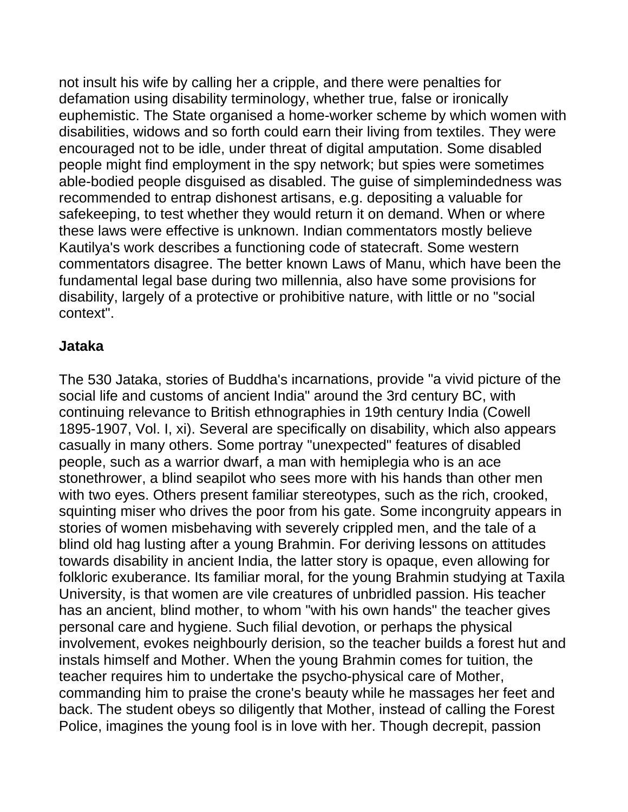not insult his wife by calling her a cripple, and there were penalties for defamation using disability terminology, whether true, false or ironically euphemistic. The State organised a home-worker scheme by which women with disabilities, widows and so forth could earn their living from textiles. They were encouraged not to be idle, under threat of digital amputation. Some disabled people might find employment in the spy network; but spies were sometimes able-bodied people disguised as disabled. The guise of simplemindedness was recommended to entrap dishonest artisans, e.g. depositing a valuable for safekeeping, to test whether they would return it on demand. When or where these laws were effective is unknown. Indian commentators mostly believe Kautilya's work describes a functioning code of statecraft. Some western commentators disagree. The better known Laws of Manu, which have been the fundamental legal base during two millennia, also have some provisions for disability, largely of a protective or prohibitive nature, with little or no "social context".

#### **Jataka**

The 530 Jataka, stories of Buddha's incarnations, provide "a vivid picture of the social life and customs of ancient India" around the 3rd century BC, with continuing relevance to British ethnographies in 19th century India (Cowell 1895-1907, Vol. I, xi). Several are specifically on disability, which also appears casually in many others. Some portray "unexpected" features of disabled people, such as a warrior dwarf, a man with hemiplegia who is an ace stonethrower, a blind seapilot who sees more with his hands than other men with two eyes. Others present familiar stereotypes, such as the rich, crooked, squinting miser who drives the poor from his gate. Some incongruity appears in stories of women misbehaving with severely crippled men, and the tale of a blind old hag lusting after a young Brahmin. For deriving lessons on attitudes towards disability in ancient India, the latter story is opaque, even allowing for folkloric exuberance. Its familiar moral, for the young Brahmin studying at Taxila University, is that women are vile creatures of unbridled passion. His teacher has an ancient, blind mother, to whom "with his own hands" the teacher gives personal care and hygiene. Such filial devotion, or perhaps the physical involvement, evokes neighbourly derision, so the teacher builds a forest hut and instals himself and Mother. When the young Brahmin comes for tuition, the teacher requires him to undertake the psycho-physical care of Mother, commanding him to praise the crone's beauty while he massages her feet and back. The student obeys so diligently that Mother, instead of calling the Forest Police, imagines the young fool is in love with her. Though decrepit, passion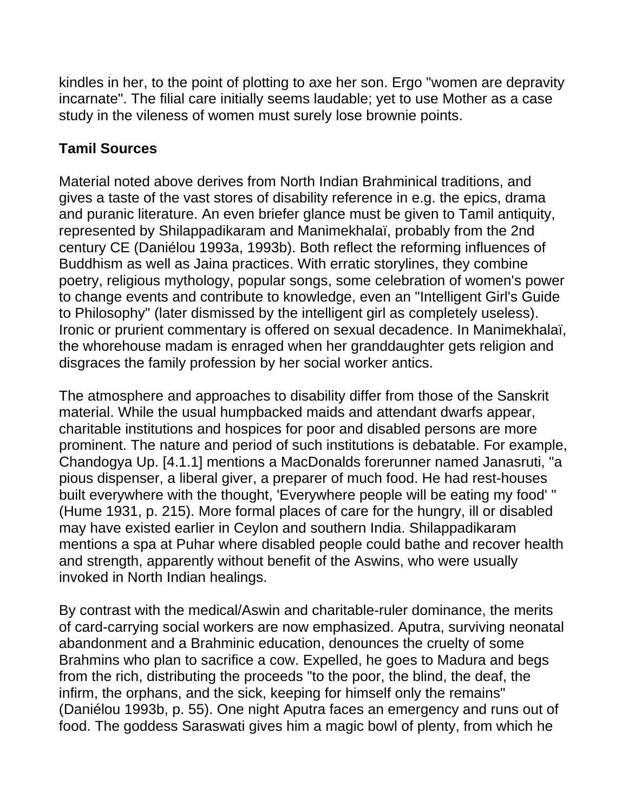kindles in her, to the point of plotting to axe her son. Ergo "women are depravity incarnate". The filial care initially seems laudable; yet to use Mother as a case study in the vileness of women must surely lose brownie points.

## **Tamil Sources**

Material noted above derives from North Indian Brahminical traditions, and gives a taste of the vast stores of disability reference in e.g. the epics, drama and puranic literature. An even briefer glance must be given to Tamil antiquity, represented by Shilappadikaram and Manimekhalaï, probably from the 2nd century CE (Daniélou 1993a, 1993b). Both reflect the reforming influences of Buddhism as well as Jaina practices. With erratic storylines, they combine poetry, religious mythology, popular songs, some celebration of women's power to change events and contribute to knowledge, even an "Intelligent Girl's Guide to Philosophy" (later dismissed by the intelligent girl as completely useless). Ironic or prurient commentary is offered on sexual decadence. In Manimekhalaï, the whorehouse madam is enraged when her granddaughter gets religion and disgraces the family profession by her social worker antics.

The atmosphere and approaches to disability differ from those of the Sanskrit material. While the usual humpbacked maids and attendant dwarfs appear, charitable institutions and hospices for poor and disabled persons are more prominent. The nature and period of such institutions is debatable. For example, Chandogya Up. [4.1.1] mentions a MacDonalds forerunner named Janasruti, "a pious dispenser, a liberal giver, a preparer of much food. He had rest-houses built everywhere with the thought, 'Everywhere people will be eating my food' " (Hume 1931, p. 215). More formal places of care for the hungry, ill or disabled may have existed earlier in Ceylon and southern India. Shilappadikaram mentions a spa at Puhar where disabled people could bathe and recover health and strength, apparently without benefit of the Aswins, who were usually invoked in North Indian healings.

By contrast with the medical/Aswin and charitable-ruler dominance, the merits of card-carrying social workers are now emphasized. Aputra, surviving neonatal abandonment and a Brahminic education, denounces the cruelty of some Brahmins who plan to sacrifice a cow. Expelled, he goes to Madura and begs from the rich, distributing the proceeds "to the poor, the blind, the deaf, the infirm, the orphans, and the sick, keeping for himself only the remains" (Daniélou 1993b, p. 55). One night Aputra faces an emergency and runs out of food. The goddess Saraswati gives him a magic bowl of plenty, from which he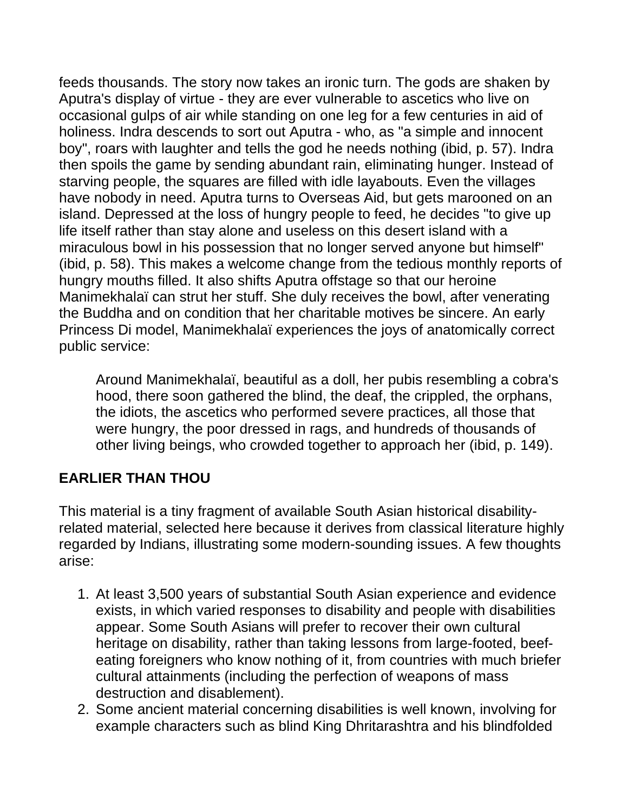feeds thousands. The story now takes an ironic turn. The gods are shaken by Aputra's display of virtue - they are ever vulnerable to ascetics who live on occasional gulps of air while standing on one leg for a few centuries in aid of holiness. Indra descends to sort out Aputra - who, as "a simple and innocent boy", roars with laughter and tells the god he needs nothing (ibid, p. 57). Indra then spoils the game by sending abundant rain, eliminating hunger. Instead of starving people, the squares are filled with idle layabouts. Even the villages have nobody in need. Aputra turns to Overseas Aid, but gets marooned on an island. Depressed at the loss of hungry people to feed, he decides "to give up life itself rather than stay alone and useless on this desert island with a miraculous bowl in his possession that no longer served anyone but himself" (ibid, p. 58). This makes a welcome change from the tedious monthly reports of hungry mouths filled. It also shifts Aputra offstage so that our heroine Manimekhalaï can strut her stuff. She duly receives the bowl, after venerating the Buddha and on condition that her charitable motives be sincere. An early Princess Di model, Manimekhalaï experiences the joys of anatomically correct public service:

Around Manimekhalaï, beautiful as a doll, her pubis resembling a cobra's hood, there soon gathered the blind, the deaf, the crippled, the orphans, the idiots, the ascetics who performed severe practices, all those that were hungry, the poor dressed in rags, and hundreds of thousands of other living beings, who crowded together to approach her (ibid, p. 149).

### **EARLIER THAN THOU**

This material is a tiny fragment of available South Asian historical disabilityrelated material, selected here because it derives from classical literature highly regarded by Indians, illustrating some modern-sounding issues. A few thoughts arise:

- 1. At least 3,500 years of substantial South Asian experience and evidence exists, in which varied responses to disability and people with disabilities appear. Some South Asians will prefer to recover their own cultural heritage on disability, rather than taking lessons from large-footed, beefeating foreigners who know nothing of it, from countries with much briefer cultural attainments (including the perfection of weapons of mass destruction and disablement).
- 2. Some ancient material concerning disabilities is well known, involving for example characters such as blind King Dhritarashtra and his blindfolded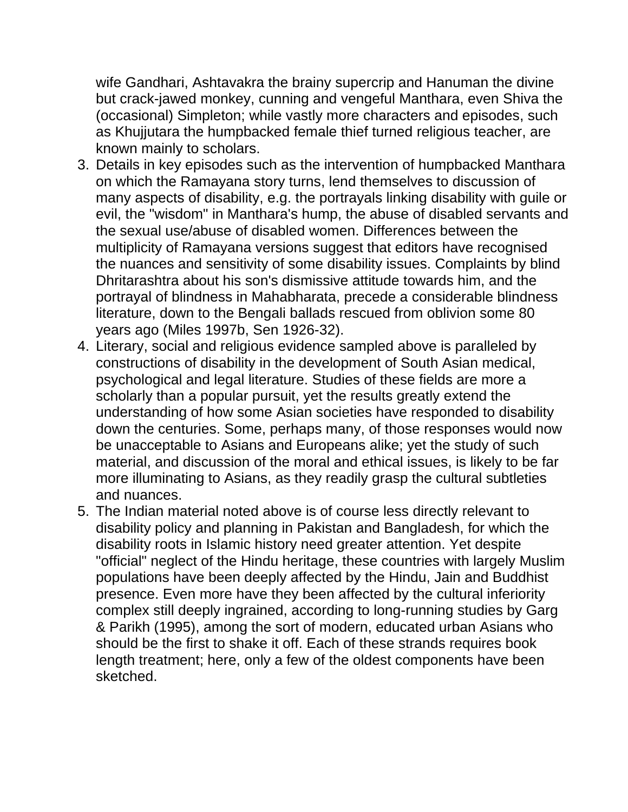wife Gandhari, Ashtavakra the brainy supercrip and Hanuman the divine but crack-jawed monkey, cunning and vengeful Manthara, even Shiva the (occasional) Simpleton; while vastly more characters and episodes, such as Khujjutara the humpbacked female thief turned religious teacher, are known mainly to scholars.

- 3. Details in key episodes such as the intervention of humpbacked Manthara on which the Ramayana story turns, lend themselves to discussion of many aspects of disability, e.g. the portrayals linking disability with guile or evil, the "wisdom" in Manthara's hump, the abuse of disabled servants and the sexual use/abuse of disabled women. Differences between the multiplicity of Ramayana versions suggest that editors have recognised the nuances and sensitivity of some disability issues. Complaints by blind Dhritarashtra about his son's dismissive attitude towards him, and the portrayal of blindness in Mahabharata, precede a considerable blindness literature, down to the Bengali ballads rescued from oblivion some 80 years ago (Miles 1997b, Sen 1926-32).
- 4. Literary, social and religious evidence sampled above is paralleled by constructions of disability in the development of South Asian medical, psychological and legal literature. Studies of these fields are more a scholarly than a popular pursuit, yet the results greatly extend the understanding of how some Asian societies have responded to disability down the centuries. Some, perhaps many, of those responses would now be unacceptable to Asians and Europeans alike; yet the study of such material, and discussion of the moral and ethical issues, is likely to be far more illuminating to Asians, as they readily grasp the cultural subtleties and nuances.
- 5. The Indian material noted above is of course less directly relevant to disability policy and planning in Pakistan and Bangladesh, for which the disability roots in Islamic history need greater attention. Yet despite "official" neglect of the Hindu heritage, these countries with largely Muslim populations have been deeply affected by the Hindu, Jain and Buddhist presence. Even more have they been affected by the cultural inferiority complex still deeply ingrained, according to long-running studies by Garg & Parikh (1995), among the sort of modern, educated urban Asians who should be the first to shake it off. Each of these strands requires book length treatment; here, only a few of the oldest components have been sketched.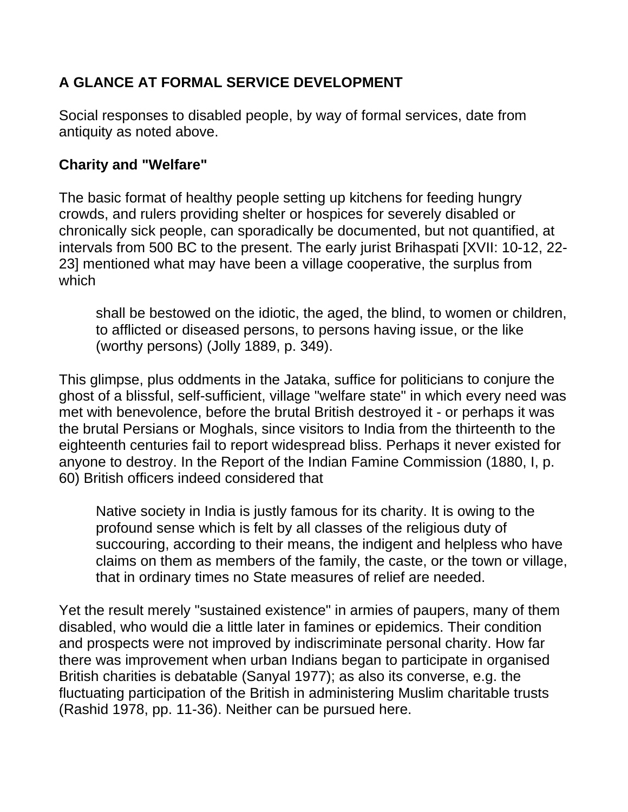# **A GLANCE AT FORMAL SERVICE DEVELOPMENT**

Social responses to disabled people, by way of formal services, date from antiquity as noted above.

### **Charity and "Welfare"**

The basic format of healthy people setting up kitchens for feeding hungry crowds, and rulers providing shelter or hospices for severely disabled or chronically sick people, can sporadically be documented, but not quantified, at intervals from 500 BC to the present. The early jurist Brihaspati [XVII: 10-12, 22- 23] mentioned what may have been a village cooperative, the surplus from which

shall be bestowed on the idiotic, the aged, the blind, to women or children, to afflicted or diseased persons, to persons having issue, or the like (worthy persons) (Jolly 1889, p. 349).

This glimpse, plus oddments in the Jataka, suffice for politicians to conjure the ghost of a blissful, self-sufficient, village "welfare state" in which every need was met with benevolence, before the brutal British destroyed it - or perhaps it was the brutal Persians or Moghals, since visitors to India from the thirteenth to the eighteenth centuries fail to report widespread bliss. Perhaps it never existed for anyone to destroy. In the Report of the Indian Famine Commission (1880, I, p. 60) British officers indeed considered that

Native society in India is justly famous for its charity. It is owing to the profound sense which is felt by all classes of the religious duty of succouring, according to their means, the indigent and helpless who have claims on them as members of the family, the caste, or the town or village, that in ordinary times no State measures of relief are needed.

Yet the result merely "sustained existence" in armies of paupers, many of them disabled, who would die a little later in famines or epidemics. Their condition and prospects were not improved by indiscriminate personal charity. How far there was improvement when urban Indians began to participate in organised British charities is debatable (Sanyal 1977); as also its converse, e.g. the fluctuating participation of the British in administering Muslim charitable trusts (Rashid 1978, pp. 11-36). Neither can be pursued here.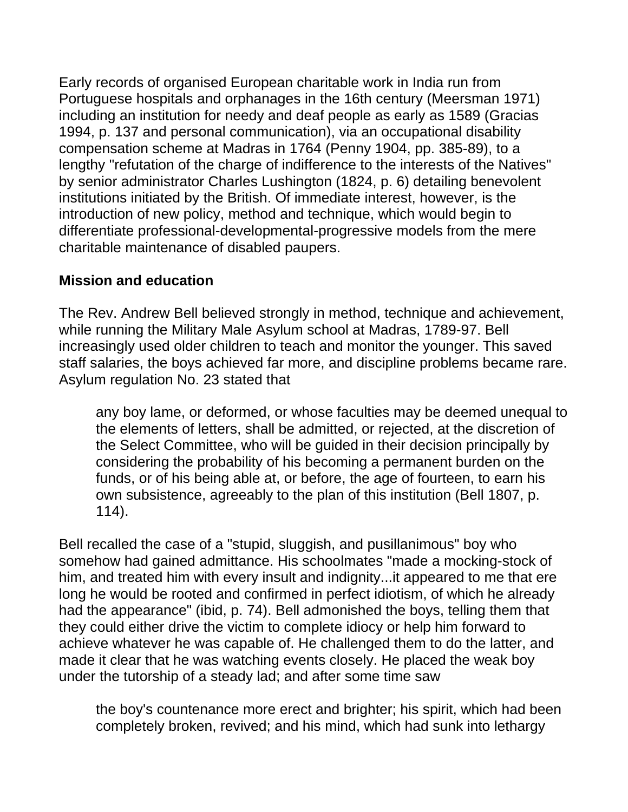Early records of organised European charitable work in India run from Portuguese hospitals and orphanages in the 16th century (Meersman 1971) including an institution for needy and deaf people as early as 1589 (Gracias 1994, p. 137 and personal communication), via an occupational disability compensation scheme at Madras in 1764 (Penny 1904, pp. 385-89), to a lengthy "refutation of the charge of indifference to the interests of the Natives" by senior administrator Charles Lushington (1824, p. 6) detailing benevolent institutions initiated by the British. Of immediate interest, however, is the introduction of new policy, method and technique, which would begin to differentiate professional-developmental-progressive models from the mere charitable maintenance of disabled paupers.

### **Mission and education**

The Rev. Andrew Bell believed strongly in method, technique and achievement, while running the Military Male Asylum school at Madras, 1789-97. Bell increasingly used older children to teach and monitor the younger. This saved staff salaries, the boys achieved far more, and discipline problems became rare. Asylum regulation No. 23 stated that

any boy lame, or deformed, or whose faculties may be deemed unequal to the elements of letters, shall be admitted, or rejected, at the discretion of the Select Committee, who will be guided in their decision principally by considering the probability of his becoming a permanent burden on the funds, or of his being able at, or before, the age of fourteen, to earn his own subsistence, agreeably to the plan of this institution (Bell 1807, p. 114).

Bell recalled the case of a "stupid, sluggish, and pusillanimous" boy who somehow had gained admittance. His schoolmates "made a mocking-stock of him, and treated him with every insult and indignity...it appeared to me that ere long he would be rooted and confirmed in perfect idiotism, of which he already had the appearance" (ibid, p. 74). Bell admonished the boys, telling them that they could either drive the victim to complete idiocy or help him forward to achieve whatever he was capable of. He challenged them to do the latter, and made it clear that he was watching events closely. He placed the weak boy under the tutorship of a steady lad; and after some time saw

the boy's countenance more erect and brighter; his spirit, which had been completely broken, revived; and his mind, which had sunk into lethargy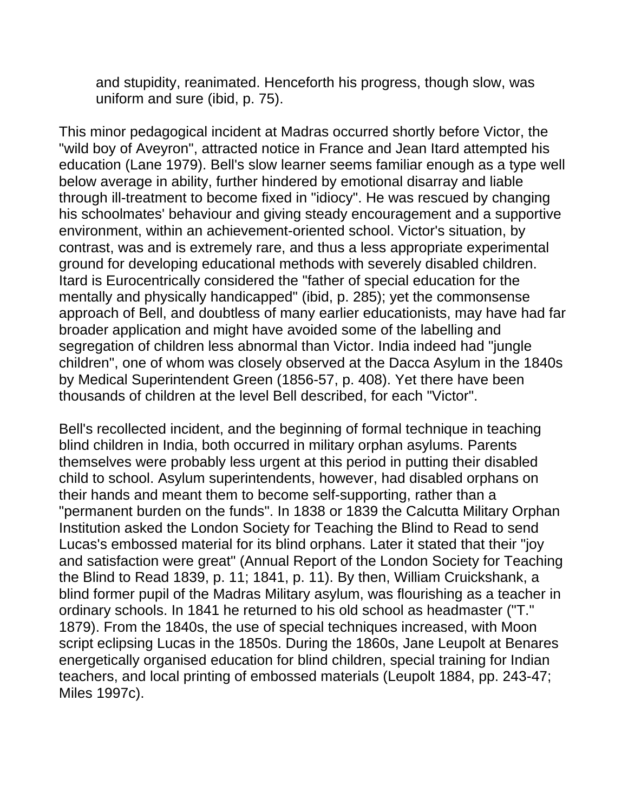and stupidity, reanimated. Henceforth his progress, though slow, was uniform and sure (ibid, p. 75).

This minor pedagogical incident at Madras occurred shortly before Victor, the "wild boy of Aveyron", attracted notice in France and Jean Itard attempted his education (Lane 1979). Bell's slow learner seems familiar enough as a type well below average in ability, further hindered by emotional disarray and liable through ill-treatment to become fixed in "idiocy". He was rescued by changing his schoolmates' behaviour and giving steady encouragement and a supportive environment, within an achievement-oriented school. Victor's situation, by contrast, was and is extremely rare, and thus a less appropriate experimental ground for developing educational methods with severely disabled children. Itard is Eurocentrically considered the "father of special education for the mentally and physically handicapped" (ibid, p. 285); yet the commonsense approach of Bell, and doubtless of many earlier educationists, may have had far broader application and might have avoided some of the labelling and segregation of children less abnormal than Victor. India indeed had "jungle children", one of whom was closely observed at the Dacca Asylum in the 1840s by Medical Superintendent Green (1856-57, p. 408). Yet there have been thousands of children at the level Bell described, for each "Victor".

Bell's recollected incident, and the beginning of formal technique in teaching blind children in India, both occurred in military orphan asylums. Parents themselves were probably less urgent at this period in putting their disabled child to school. Asylum superintendents, however, had disabled orphans on their hands and meant them to become self-supporting, rather than a "permanent burden on the funds". In 1838 or 1839 the Calcutta Military Orphan Institution asked the London Society for Teaching the Blind to Read to send Lucas's embossed material for its blind orphans. Later it stated that their "joy and satisfaction were great" (Annual Report of the London Society for Teaching the Blind to Read 1839, p. 11; 1841, p. 11). By then, William Cruickshank, a blind former pupil of the Madras Military asylum, was flourishing as a teacher in ordinary schools. In 1841 he returned to his old school as headmaster ("T." 1879). From the 1840s, the use of special techniques increased, with Moon script eclipsing Lucas in the 1850s. During the 1860s, Jane Leupolt at Benares energetically organised education for blind children, special training for Indian teachers, and local printing of embossed materials (Leupolt 1884, pp. 243-47; Miles 1997c).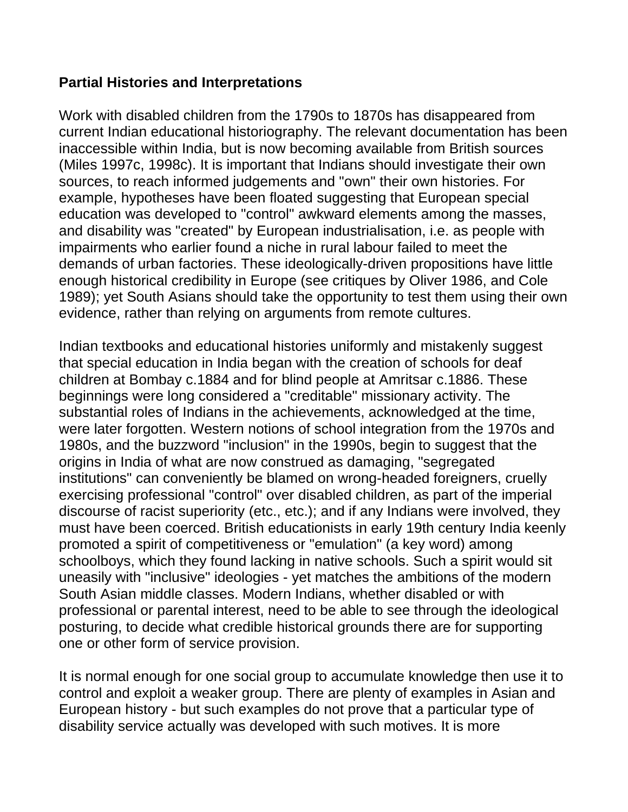#### **Partial Histories and Interpretations**

Work with disabled children from the 1790s to 1870s has disappeared from current Indian educational historiography. The relevant documentation has been inaccessible within India, but is now becoming available from British sources (Miles 1997c, 1998c). It is important that Indians should investigate their own sources, to reach informed judgements and "own" their own histories. For example, hypotheses have been floated suggesting that European special education was developed to "control" awkward elements among the masses, and disability was "created" by European industrialisation, i.e. as people with impairments who earlier found a niche in rural labour failed to meet the demands of urban factories. These ideologically-driven propositions have little enough historical credibility in Europe (see critiques by Oliver 1986, and Cole 1989); yet South Asians should take the opportunity to test them using their own evidence, rather than relying on arguments from remote cultures.

Indian textbooks and educational histories uniformly and mistakenly suggest that special education in India began with the creation of schools for deaf children at Bombay c.1884 and for blind people at Amritsar c.1886. These beginnings were long considered a "creditable" missionary activity. The substantial roles of Indians in the achievements, acknowledged at the time, were later forgotten. Western notions of school integration from the 1970s and 1980s, and the buzzword "inclusion" in the 1990s, begin to suggest that the origins in India of what are now construed as damaging, "segregated institutions" can conveniently be blamed on wrong-headed foreigners, cruelly exercising professional "control" over disabled children, as part of the imperial discourse of racist superiority (etc., etc.); and if any Indians were involved, they must have been coerced. British educationists in early 19th century India keenly promoted a spirit of competitiveness or "emulation" (a key word) among schoolboys, which they found lacking in native schools. Such a spirit would sit uneasily with "inclusive" ideologies - yet matches the ambitions of the modern South Asian middle classes. Modern Indians, whether disabled or with professional or parental interest, need to be able to see through the ideological posturing, to decide what credible historical grounds there are for supporting one or other form of service provision.

It is normal enough for one social group to accumulate knowledge then use it to control and exploit a weaker group. There are plenty of examples in Asian and European history - but such examples do not prove that a particular type of disability service actually was developed with such motives. It is more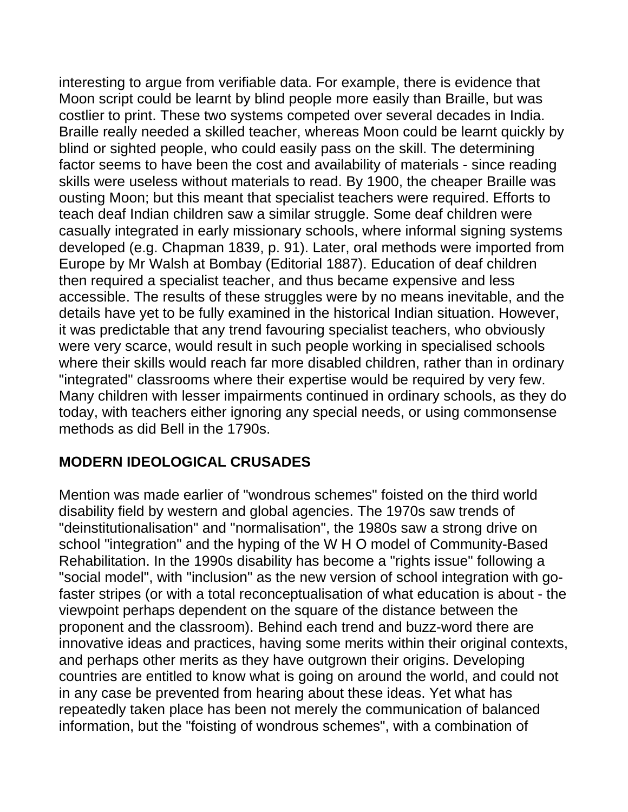interesting to argue from verifiable data. For example, there is evidence that Moon script could be learnt by blind people more easily than Braille, but was costlier to print. These two systems competed over several decades in India. Braille really needed a skilled teacher, whereas Moon could be learnt quickly by blind or sighted people, who could easily pass on the skill. The determining factor seems to have been the cost and availability of materials - since reading skills were useless without materials to read. By 1900, the cheaper Braille was ousting Moon; but this meant that specialist teachers were required. Efforts to teach deaf Indian children saw a similar struggle. Some deaf children were casually integrated in early missionary schools, where informal signing systems developed (e.g. Chapman 1839, p. 91). Later, oral methods were imported from Europe by Mr Walsh at Bombay (Editorial 1887). Education of deaf children then required a specialist teacher, and thus became expensive and less accessible. The results of these struggles were by no means inevitable, and the details have yet to be fully examined in the historical Indian situation. However, it was predictable that any trend favouring specialist teachers, who obviously were very scarce, would result in such people working in specialised schools where their skills would reach far more disabled children, rather than in ordinary "integrated" classrooms where their expertise would be required by very few. Many children with lesser impairments continued in ordinary schools, as they do today, with teachers either ignoring any special needs, or using commonsense methods as did Bell in the 1790s.

### **MODERN IDEOLOGICAL CRUSADES**

Mention was made earlier of "wondrous schemes" foisted on the third world disability field by western and global agencies. The 1970s saw trends of "deinstitutionalisation" and "normalisation", the 1980s saw a strong drive on school "integration" and the hyping of the W H O model of Community-Based Rehabilitation. In the 1990s disability has become a "rights issue" following a "social model", with "inclusion" as the new version of school integration with gofaster stripes (or with a total reconceptualisation of what education is about - the viewpoint perhaps dependent on the square of the distance between the proponent and the classroom). Behind each trend and buzz-word there are innovative ideas and practices, having some merits within their original contexts, and perhaps other merits as they have outgrown their origins. Developing countries are entitled to know what is going on around the world, and could not in any case be prevented from hearing about these ideas. Yet what has repeatedly taken place has been not merely the communication of balanced information, but the "foisting of wondrous schemes", with a combination of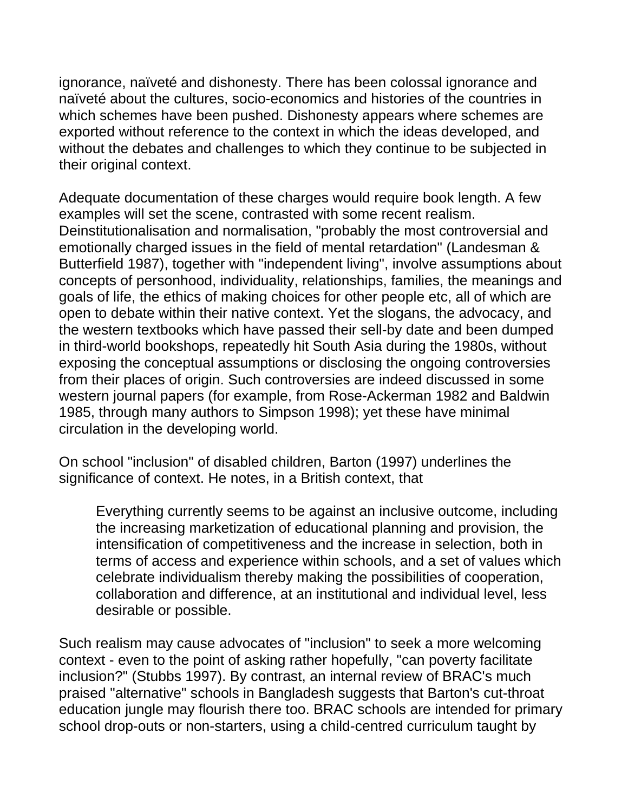ignorance, naïveté and dishonesty. There has been colossal ignorance and naïveté about the cultures, socio-economics and histories of the countries in which schemes have been pushed. Dishonesty appears where schemes are exported without reference to the context in which the ideas developed, and without the debates and challenges to which they continue to be subjected in their original context.

Adequate documentation of these charges would require book length. A few examples will set the scene, contrasted with some recent realism. Deinstitutionalisation and normalisation, "probably the most controversial and emotionally charged issues in the field of mental retardation" (Landesman & Butterfield 1987), together with "independent living", involve assumptions about concepts of personhood, individuality, relationships, families, the meanings and goals of life, the ethics of making choices for other people etc, all of which are open to debate within their native context. Yet the slogans, the advocacy, and the western textbooks which have passed their sell-by date and been dumped in third-world bookshops, repeatedly hit South Asia during the 1980s, without exposing the conceptual assumptions or disclosing the ongoing controversies from their places of origin. Such controversies are indeed discussed in some western journal papers (for example, from Rose-Ackerman 1982 and Baldwin 1985, through many authors to Simpson 1998); yet these have minimal circulation in the developing world.

On school "inclusion" of disabled children, Barton (1997) underlines the significance of context. He notes, in a British context, that

Everything currently seems to be against an inclusive outcome, including the increasing marketization of educational planning and provision, the intensification of competitiveness and the increase in selection, both in terms of access and experience within schools, and a set of values which celebrate individualism thereby making the possibilities of cooperation, collaboration and difference, at an institutional and individual level, less desirable or possible.

Such realism may cause advocates of "inclusion" to seek a more welcoming context - even to the point of asking rather hopefully, "can poverty facilitate inclusion?" (Stubbs 1997). By contrast, an internal review of BRAC's much praised "alternative" schools in Bangladesh suggests that Barton's cut-throat education jungle may flourish there too. BRAC schools are intended for primary school drop-outs or non-starters, using a child-centred curriculum taught by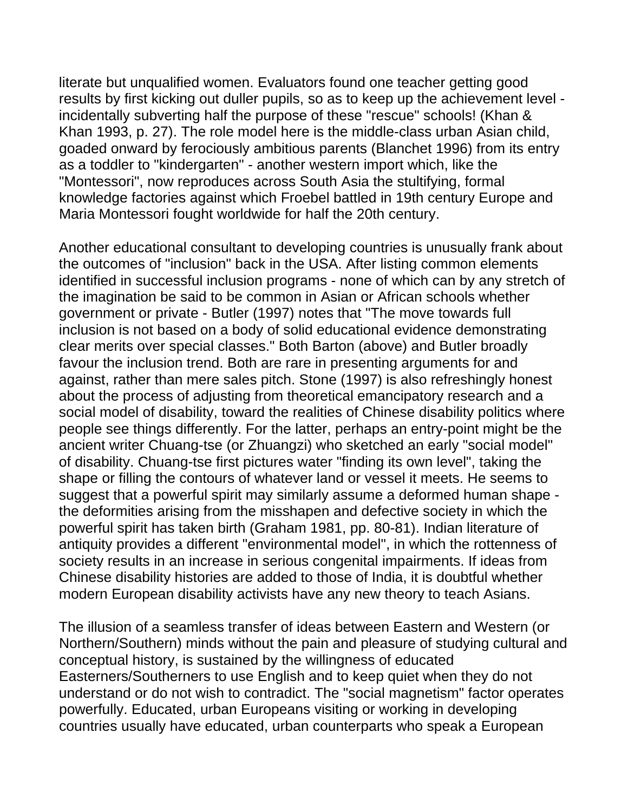literate but unqualified women. Evaluators found one teacher getting good results by first kicking out duller pupils, so as to keep up the achievement level incidentally subverting half the purpose of these "rescue" schools! (Khan & Khan 1993, p. 27). The role model here is the middle-class urban Asian child, goaded onward by ferociously ambitious parents (Blanchet 1996) from its entry as a toddler to "kindergarten" - another western import which, like the "Montessori", now reproduces across South Asia the stultifying, formal knowledge factories against which Froebel battled in 19th century Europe and Maria Montessori fought worldwide for half the 20th century.

Another educational consultant to developing countries is unusually frank about the outcomes of "inclusion" back in the USA. After listing common elements identified in successful inclusion programs - none of which can by any stretch of the imagination be said to be common in Asian or African schools whether government or private - Butler (1997) notes that "The move towards full inclusion is not based on a body of solid educational evidence demonstrating clear merits over special classes." Both Barton (above) and Butler broadly favour the inclusion trend. Both are rare in presenting arguments for and against, rather than mere sales pitch. Stone (1997) is also refreshingly honest about the process of adjusting from theoretical emancipatory research and a social model of disability, toward the realities of Chinese disability politics where people see things differently. For the latter, perhaps an entry-point might be the ancient writer Chuang-tse (or Zhuangzi) who sketched an early "social model" of disability. Chuang-tse first pictures water "finding its own level", taking the shape or filling the contours of whatever land or vessel it meets. He seems to suggest that a powerful spirit may similarly assume a deformed human shape the deformities arising from the misshapen and defective society in which the powerful spirit has taken birth (Graham 1981, pp. 80-81). Indian literature of antiquity provides a different "environmental model", in which the rottenness of society results in an increase in serious congenital impairments. If ideas from Chinese disability histories are added to those of India, it is doubtful whether modern European disability activists have any new theory to teach Asians.

The illusion of a seamless transfer of ideas between Eastern and Western (or Northern/Southern) minds without the pain and pleasure of studying cultural and conceptual history, is sustained by the willingness of educated Easterners/Southerners to use English and to keep quiet when they do not understand or do not wish to contradict. The "social magnetism" factor operates powerfully. Educated, urban Europeans visiting or working in developing countries usually have educated, urban counterparts who speak a European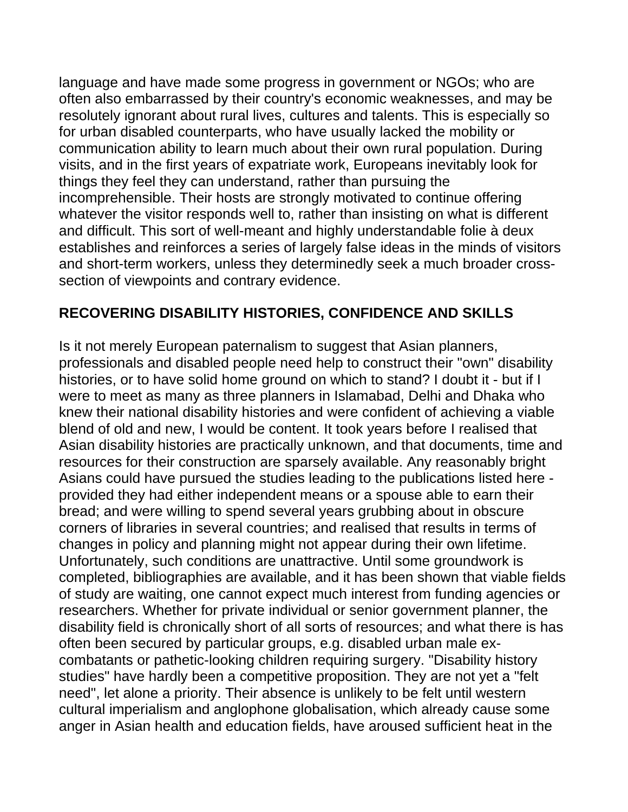language and have made some progress in government or NGOs; who are often also embarrassed by their country's economic weaknesses, and may be resolutely ignorant about rural lives, cultures and talents. This is especially so for urban disabled counterparts, who have usually lacked the mobility or communication ability to learn much about their own rural population. During visits, and in the first years of expatriate work, Europeans inevitably look for things they feel they can understand, rather than pursuing the incomprehensible. Their hosts are strongly motivated to continue offering whatever the visitor responds well to, rather than insisting on what is different and difficult. This sort of well-meant and highly understandable folie à deux establishes and reinforces a series of largely false ideas in the minds of visitors and short-term workers, unless they determinedly seek a much broader crosssection of viewpoints and contrary evidence.

### **RECOVERING DISABILITY HISTORIES, CONFIDENCE AND SKILLS**

Is it not merely European paternalism to suggest that Asian planners, professionals and disabled people need help to construct their "own" disability histories, or to have solid home ground on which to stand? I doubt it - but if I were to meet as many as three planners in Islamabad, Delhi and Dhaka who knew their national disability histories and were confident of achieving a viable blend of old and new, I would be content. It took years before I realised that Asian disability histories are practically unknown, and that documents, time and resources for their construction are sparsely available. Any reasonably bright Asians could have pursued the studies leading to the publications listed here provided they had either independent means or a spouse able to earn their bread; and were willing to spend several years grubbing about in obscure corners of libraries in several countries; and realised that results in terms of changes in policy and planning might not appear during their own lifetime. Unfortunately, such conditions are unattractive. Until some groundwork is completed, bibliographies are available, and it has been shown that viable fields of study are waiting, one cannot expect much interest from funding agencies or researchers. Whether for private individual or senior government planner, the disability field is chronically short of all sorts of resources; and what there is has often been secured by particular groups, e.g. disabled urban male excombatants or pathetic-looking children requiring surgery. "Disability history studies" have hardly been a competitive proposition. They are not yet a "felt need", let alone a priority. Their absence is unlikely to be felt until western cultural imperialism and anglophone globalisation, which already cause some anger in Asian health and education fields, have aroused sufficient heat in the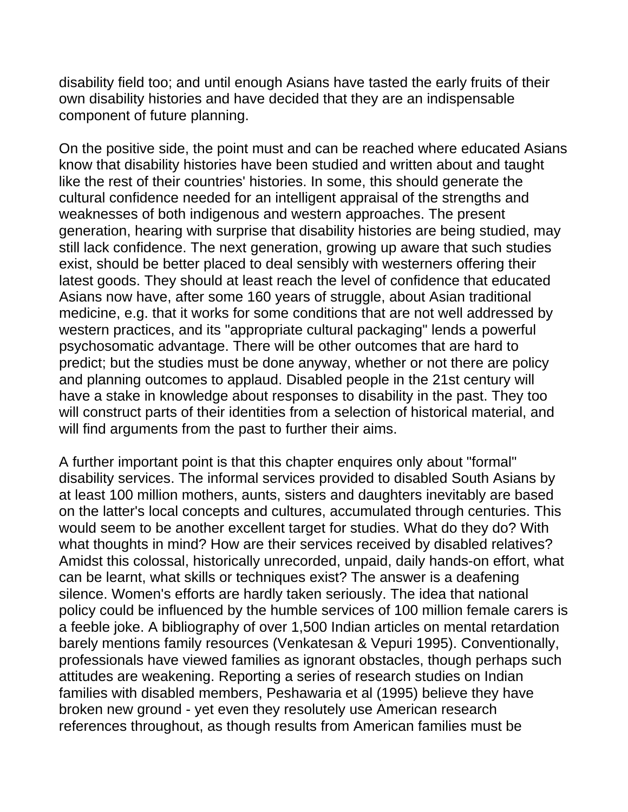disability field too; and until enough Asians have tasted the early fruits of their own disability histories and have decided that they are an indispensable component of future planning.

On the positive side, the point must and can be reached where educated Asians know that disability histories have been studied and written about and taught like the rest of their countries' histories. In some, this should generate the cultural confidence needed for an intelligent appraisal of the strengths and weaknesses of both indigenous and western approaches. The present generation, hearing with surprise that disability histories are being studied, may still lack confidence. The next generation, growing up aware that such studies exist, should be better placed to deal sensibly with westerners offering their latest goods. They should at least reach the level of confidence that educated Asians now have, after some 160 years of struggle, about Asian traditional medicine, e.g. that it works for some conditions that are not well addressed by western practices, and its "appropriate cultural packaging" lends a powerful psychosomatic advantage. There will be other outcomes that are hard to predict; but the studies must be done anyway, whether or not there are policy and planning outcomes to applaud. Disabled people in the 21st century will have a stake in knowledge about responses to disability in the past. They too will construct parts of their identities from a selection of historical material, and will find arguments from the past to further their aims.

A further important point is that this chapter enquires only about "formal" disability services. The informal services provided to disabled South Asians by at least 100 million mothers, aunts, sisters and daughters inevitably are based on the latter's local concepts and cultures, accumulated through centuries. This would seem to be another excellent target for studies. What do they do? With what thoughts in mind? How are their services received by disabled relatives? Amidst this colossal, historically unrecorded, unpaid, daily hands-on effort, what can be learnt, what skills or techniques exist? The answer is a deafening silence. Women's efforts are hardly taken seriously. The idea that national policy could be influenced by the humble services of 100 million female carers is a feeble joke. A bibliography of over 1,500 Indian articles on mental retardation barely mentions family resources (Venkatesan & Vepuri 1995). Conventionally, professionals have viewed families as ignorant obstacles, though perhaps such attitudes are weakening. Reporting a series of research studies on Indian families with disabled members, Peshawaria et al (1995) believe they have broken new ground - yet even they resolutely use American research references throughout, as though results from American families must be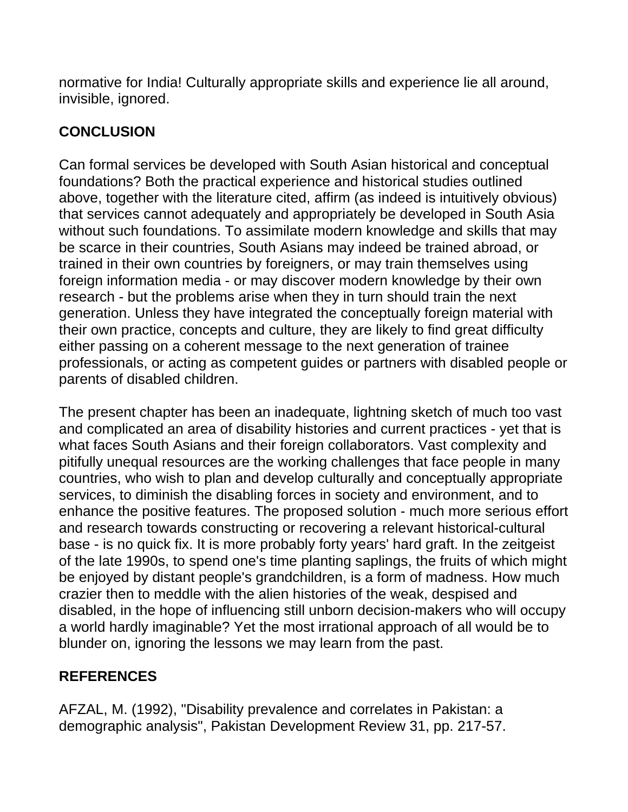normative for India! Culturally appropriate skills and experience lie all around, invisible, ignored.

# **CONCLUSION**

Can formal services be developed with South Asian historical and conceptual foundations? Both the practical experience and historical studies outlined above, together with the literature cited, affirm (as indeed is intuitively obvious) that services cannot adequately and appropriately be developed in South Asia without such foundations. To assimilate modern knowledge and skills that may be scarce in their countries, South Asians may indeed be trained abroad, or trained in their own countries by foreigners, or may train themselves using foreign information media - or may discover modern knowledge by their own research - but the problems arise when they in turn should train the next generation. Unless they have integrated the conceptually foreign material with their own practice, concepts and culture, they are likely to find great difficulty either passing on a coherent message to the next generation of trainee professionals, or acting as competent guides or partners with disabled people or parents of disabled children.

The present chapter has been an inadequate, lightning sketch of much too vast and complicated an area of disability histories and current practices - yet that is what faces South Asians and their foreign collaborators. Vast complexity and pitifully unequal resources are the working challenges that face people in many countries, who wish to plan and develop culturally and conceptually appropriate services, to diminish the disabling forces in society and environment, and to enhance the positive features. The proposed solution - much more serious effort and research towards constructing or recovering a relevant historical-cultural base - is no quick fix. It is more probably forty years' hard graft. In the zeitgeist of the late 1990s, to spend one's time planting saplings, the fruits of which might be enjoyed by distant people's grandchildren, is a form of madness. How much crazier then to meddle with the alien histories of the weak, despised and disabled, in the hope of influencing still unborn decision-makers who will occupy a world hardly imaginable? Yet the most irrational approach of all would be to blunder on, ignoring the lessons we may learn from the past.

### **REFERENCES**

AFZAL, M. (1992), "Disability prevalence and correlates in Pakistan: a demographic analysis", Pakistan Development Review 31, pp. 217-57.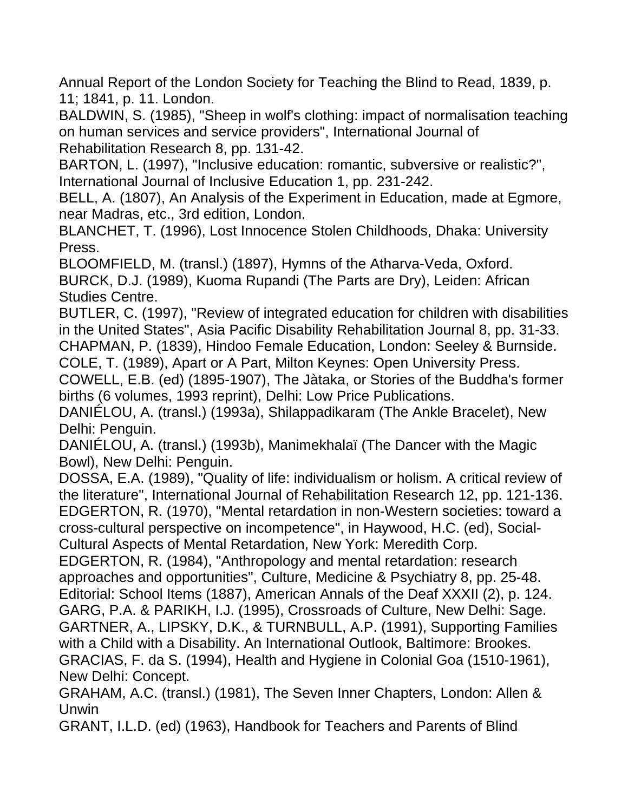Annual Report of the London Society for Teaching the Blind to Read, 1839, p. 11; 1841, p. 11. London.

BALDWIN, S. (1985), "Sheep in wolf's clothing: impact of normalisation teaching on human services and service providers", International Journal of Rehabilitation Research 8, pp. 131-42.

BARTON, L. (1997), "Inclusive education: romantic, subversive or realistic?", International Journal of Inclusive Education 1, pp. 231-242.

BELL, A. (1807), An Analysis of the Experiment in Education, made at Egmore, near Madras, etc., 3rd edition, London.

BLANCHET, T. (1996), Lost Innocence Stolen Childhoods, Dhaka: University Press.

BLOOMFIELD, M. (transl.) (1897), Hymns of the Atharva-Veda, Oxford. BURCK, D.J. (1989), Kuoma Rupandi (The Parts are Dry), Leiden: African Studies Centre.

BUTLER, C. (1997), "Review of integrated education for children with disabilities in the United States", Asia Pacific Disability Rehabilitation Journal 8, pp. 31-33. CHAPMAN, P. (1839), Hindoo Female Education, London: Seeley & Burnside.

COLE, T. (1989), Apart or A Part, Milton Keynes: Open University Press.

COWELL, E.B. (ed) (1895-1907), The Jàtaka, or Stories of the Buddha's former births (6 volumes, 1993 reprint), Delhi: Low Price Publications.

DANIÉLOU, A. (transl.) (1993a), Shilappadikaram (The Ankle Bracelet), New Delhi: Penguin.

DANIÉLOU, A. (transl.) (1993b), Manimekhalaï (The Dancer with the Magic Bowl), New Delhi: Penguin.

DOSSA, E.A. (1989), "Quality of life: individualism or holism. A critical review of the literature", International Journal of Rehabilitation Research 12, pp. 121-136. EDGERTON, R. (1970), "Mental retardation in non-Western societies: toward a cross-cultural perspective on incompetence", in Haywood, H.C. (ed), Social-Cultural Aspects of Mental Retardation, New York: Meredith Corp.

EDGERTON, R. (1984), "Anthropology and mental retardation: research approaches and opportunities", Culture, Medicine & Psychiatry 8, pp. 25-48. Editorial: School Items (1887), American Annals of the Deaf XXXII (2), p. 124. GARG, P.A. & PARIKH, I.J. (1995), Crossroads of Culture, New Delhi: Sage. GARTNER, A., LIPSKY, D.K., & TURNBULL, A.P. (1991), Supporting Families with a Child with a Disability. An International Outlook, Baltimore: Brookes. GRACIAS, F. da S. (1994), Health and Hygiene in Colonial Goa (1510-1961), New Delhi: Concept.

GRAHAM, A.C. (transl.) (1981), The Seven Inner Chapters, London: Allen & Unwin

GRANT, I.L.D. (ed) (1963), Handbook for Teachers and Parents of Blind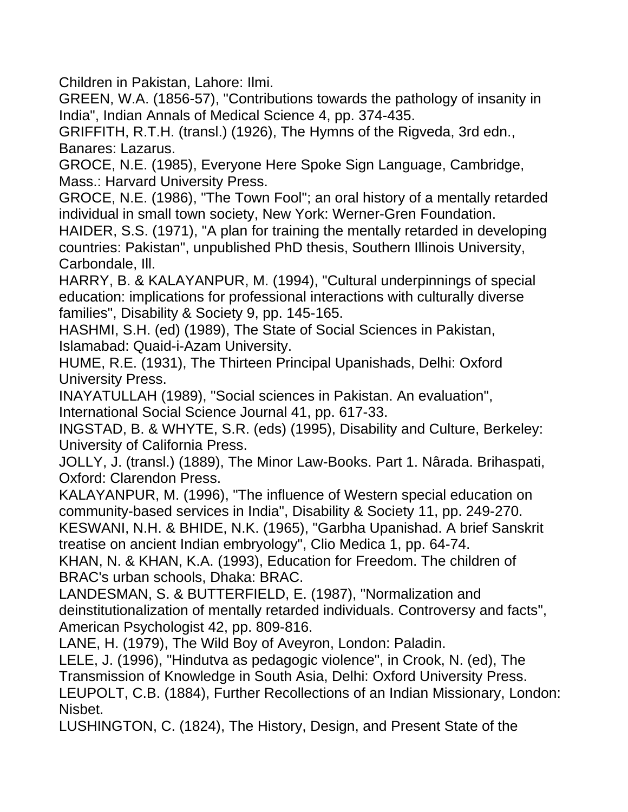Children in Pakistan, Lahore: Ilmi.

GREEN, W.A. (1856-57), "Contributions towards the pathology of insanity in India", Indian Annals of Medical Science 4, pp. 374-435.

GRIFFITH, R.T.H. (transl.) (1926), The Hymns of the Rigveda, 3rd edn., Banares: Lazarus.

GROCE, N.E. (1985), Everyone Here Spoke Sign Language, Cambridge, Mass.: Harvard University Press.

GROCE, N.E. (1986), "The Town Fool"; an oral history of a mentally retarded individual in small town society, New York: Werner-Gren Foundation.

HAIDER, S.S. (1971), "A plan for training the mentally retarded in developing countries: Pakistan", unpublished PhD thesis, Southern Illinois University, Carbondale, Ill.

HARRY, B. & KALAYANPUR, M. (1994), "Cultural underpinnings of special education: implications for professional interactions with culturally diverse families", Disability & Society 9, pp. 145-165.

HASHMI, S.H. (ed) (1989), The State of Social Sciences in Pakistan, Islamabad: Quaid-i-Azam University.

HUME, R.E. (1931), The Thirteen Principal Upanishads, Delhi: Oxford University Press.

INAYATULLAH (1989), "Social sciences in Pakistan. An evaluation", International Social Science Journal 41, pp. 617-33.

INGSTAD, B. & WHYTE, S.R. (eds) (1995), Disability and Culture, Berkeley: University of California Press.

JOLLY, J. (transl.) (1889), The Minor Law-Books. Part 1. Nârada. Brihaspati, Oxford: Clarendon Press.

KALAYANPUR, M. (1996), "The influence of Western special education on community-based services in India", Disability & Society 11, pp. 249-270.

KESWANI, N.H. & BHIDE, N.K. (1965), "Garbha Upanishad. A brief Sanskrit treatise on ancient Indian embryology", Clio Medica 1, pp. 64-74.

KHAN, N. & KHAN, K.A. (1993), Education for Freedom. The children of BRAC's urban schools, Dhaka: BRAC.

LANDESMAN, S. & BUTTERFIELD, E. (1987), "Normalization and deinstitutionalization of mentally retarded individuals. Controversy and facts", American Psychologist 42, pp. 809-816.

LANE, H. (1979), The Wild Boy of Aveyron, London: Paladin.

LELE, J. (1996), "Hindutva as pedagogic violence", in Crook, N. (ed), The Transmission of Knowledge in South Asia, Delhi: Oxford University Press. LEUPOLT, C.B. (1884), Further Recollections of an Indian Missionary, London: Nisbet.

LUSHINGTON, C. (1824), The History, Design, and Present State of the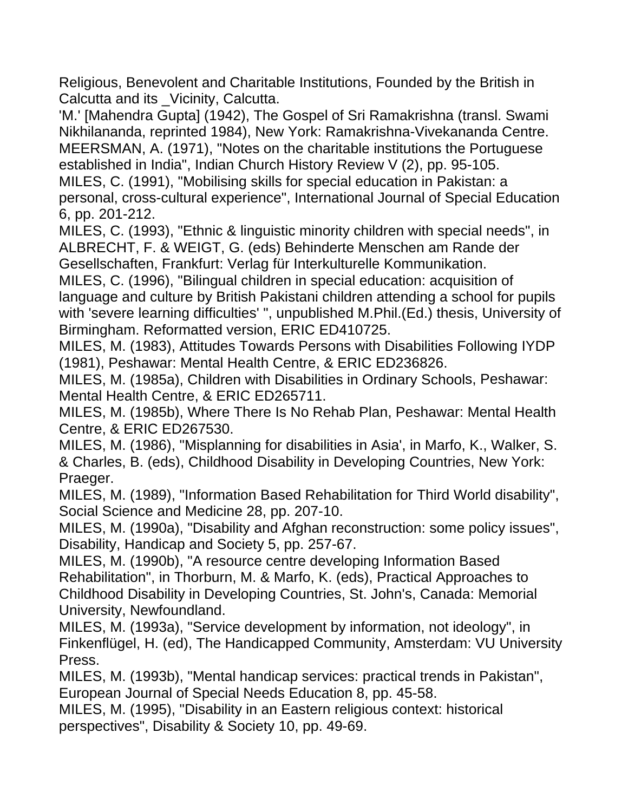Religious, Benevolent and Charitable Institutions, Founded by the British in Calcutta and its \_Vicinity, Calcutta.

'M.' [Mahendra Gupta] (1942), The Gospel of Sri Ramakrishna (transl. Swami Nikhilananda, reprinted 1984), New York: Ramakrishna-Vivekananda Centre. MEERSMAN, A. (1971), "Notes on the charitable institutions the Portuguese established in India", Indian Church History Review V (2), pp. 95-105.

MILES, C. (1991), "Mobilising skills for special education in Pakistan: a personal, cross-cultural experience", International Journal of Special Education 6, pp. 201-212.

MILES, C. (1993), "Ethnic & linguistic minority children with special needs", in ALBRECHT, F. & WEIGT, G. (eds) Behinderte Menschen am Rande der Gesellschaften, Frankfurt: Verlag für Interkulturelle Kommunikation.

MILES, C. (1996), "Bilingual children in special education: acquisition of language and culture by British Pakistani children attending a school for pupils with 'severe learning difficulties' ", unpublished M.Phil.(Ed.) thesis, University of Birmingham. Reformatted version, ERIC ED410725.

MILES, M. (1983), Attitudes Towards Persons with Disabilities Following IYDP (1981), Peshawar: Mental Health Centre, & ERIC ED236826.

MILES, M. (1985a), Children with Disabilities in Ordinary Schools, Peshawar: Mental Health Centre, & ERIC ED265711.

MILES, M. (1985b), Where There Is No Rehab Plan, Peshawar: Mental Health Centre, & ERIC ED267530.

MILES, M. (1986), "Misplanning for disabilities in Asia', in Marfo, K., Walker, S. & Charles, B. (eds), Childhood Disability in Developing Countries, New York: Praeger.

MILES, M. (1989), "Information Based Rehabilitation for Third World disability", Social Science and Medicine 28, pp. 207-10.

MILES, M. (1990a), "Disability and Afghan reconstruction: some policy issues", Disability, Handicap and Society 5, pp. 257-67.

MILES, M. (1990b), "A resource centre developing Information Based Rehabilitation", in Thorburn, M. & Marfo, K. (eds), Practical Approaches to Childhood Disability in Developing Countries, St. John's, Canada: Memorial University, Newfoundland.

MILES, M. (1993a), "Service development by information, not ideology", in Finkenflügel, H. (ed), The Handicapped Community, Amsterdam: VU University Press.

MILES, M. (1993b), "Mental handicap services: practical trends in Pakistan", European Journal of Special Needs Education 8, pp. 45-58.

MILES, M. (1995), "Disability in an Eastern religious context: historical perspectives", Disability & Society 10, pp. 49-69.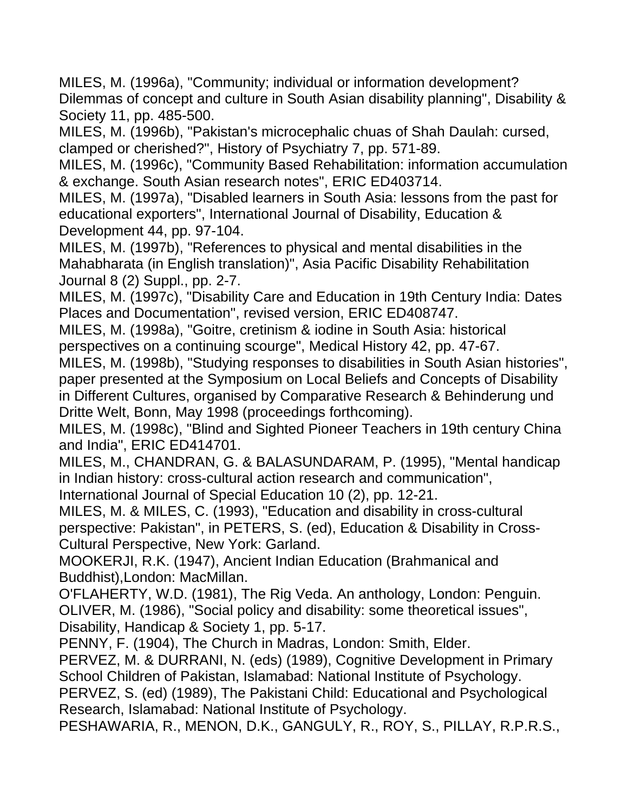MILES, M. (1996a), "Community; individual or information development? Dilemmas of concept and culture in South Asian disability planning", Disability & Society 11, pp. 485-500.

MILES, M. (1996b), "Pakistan's microcephalic chuas of Shah Daulah: cursed, clamped or cherished?", History of Psychiatry 7, pp. 571-89.

MILES, M. (1996c), "Community Based Rehabilitation: information accumulation & exchange. South Asian research notes", ERIC ED403714.

MILES, M. (1997a), "Disabled learners in South Asia: lessons from the past for educational exporters", International Journal of Disability, Education & Development 44, pp. 97-104.

MILES, M. (1997b), "References to physical and mental disabilities in the Mahabharata (in English translation)", Asia Pacific Disability Rehabilitation Journal 8 (2) Suppl., pp. 2-7.

MILES, M. (1997c), "Disability Care and Education in 19th Century India: Dates Places and Documentation", revised version, ERIC ED408747.

MILES, M. (1998a), "Goitre, cretinism & iodine in South Asia: historical perspectives on a continuing scourge", Medical History 42, pp. 47-67.

MILES, M. (1998b), "Studying responses to disabilities in South Asian histories", paper presented at the Symposium on Local Beliefs and Concepts of Disability in Different Cultures, organised by Comparative Research & Behinderung und Dritte Welt, Bonn, May 1998 (proceedings forthcoming).

MILES, M. (1998c), "Blind and Sighted Pioneer Teachers in 19th century China and India", ERIC ED414701.

MILES, M., CHANDRAN, G. & BALASUNDARAM, P. (1995), "Mental handicap in Indian history: cross-cultural action research and communication",

International Journal of Special Education 10 (2), pp. 12-21.

MILES, M. & MILES, C. (1993), "Education and disability in cross-cultural perspective: Pakistan", in PETERS, S. (ed), Education & Disability in Cross-Cultural Perspective, New York: Garland.

MOOKERJI, R.K. (1947), Ancient Indian Education (Brahmanical and Buddhist),London: MacMillan.

O'FLAHERTY, W.D. (1981), The Rig Veda. An anthology, London: Penguin. OLIVER, M. (1986), "Social policy and disability: some theoretical issues", Disability, Handicap & Society 1, pp. 5-17.

PENNY, F. (1904), The Church in Madras, London: Smith, Elder.

PERVEZ, M. & DURRANI, N. (eds) (1989), Cognitive Development in Primary School Children of Pakistan, Islamabad: National Institute of Psychology.

PERVEZ, S. (ed) (1989), The Pakistani Child: Educational and Psychological Research, Islamabad: National Institute of Psychology.

PESHAWARIA, R., MENON, D.K., GANGULY, R., ROY, S., PILLAY, R.P.R.S.,